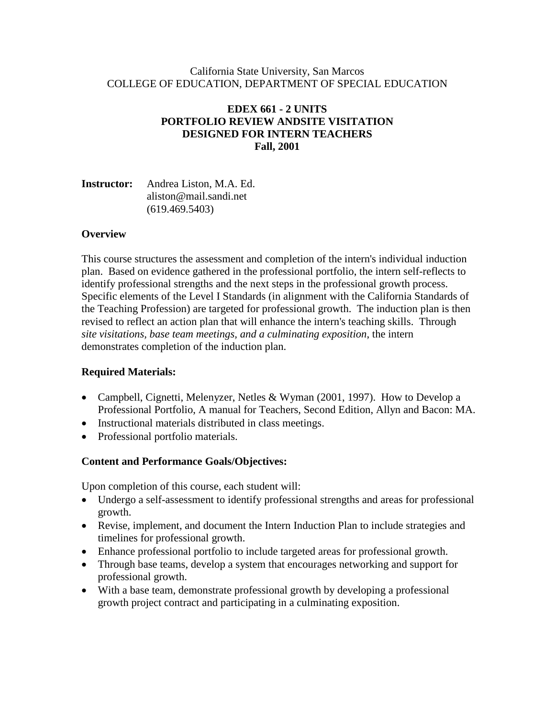#### California State University, San Marcos COLLEGE OF EDUCATION, DEPARTMENT OF SPECIAL EDUCATION

### **EDEX 661 - 2 UNITS PORTFOLIO REVIEW ANDSITE VISITATION DESIGNED FOR INTERN TEACHERS Fall, 2001**

| <b>Instructor:</b> Andrea Liston, M.A. Ed. |
|--------------------------------------------|
| aliston@mail.sandi.net                     |
| (619.469.5403)                             |

### **Overview**

This course structures the assessment and completion of the intern's individual induction plan. Based on evidence gathered in the professional portfolio, the intern self-reflects to identify professional strengths and the next steps in the professional growth process. Specific elements of the Level I Standards (in alignment with the California Standards of the Teaching Profession) are targeted for professional growth. The induction plan is then revised to reflect an action plan that will enhance the intern's teaching skills. Through *site visitations, base team meetings, and a culminating exposition*, the intern demonstrates completion of the induction plan.

### **Required Materials:**

- Campbell, Cignetti, Melenyzer, Netles & Wyman (2001, 1997). How to Develop a Professional Portfolio, A manual for Teachers, Second Edition, Allyn and Bacon: MA.
- Instructional materials distributed in class meetings.
- Professional portfolio materials.

### **Content and Performance Goals/Objectives:**

Upon completion of this course, each student will:

- Undergo a self-assessment to identify professional strengths and areas for professional growth.
- Revise, implement, and document the Intern Induction Plan to include strategies and timelines for professional growth.
- Enhance professional portfolio to include targeted areas for professional growth.
- Through base teams, develop a system that encourages networking and support for professional growth.
- With a base team, demonstrate professional growth by developing a professional growth project contract and participating in a culminating exposition.